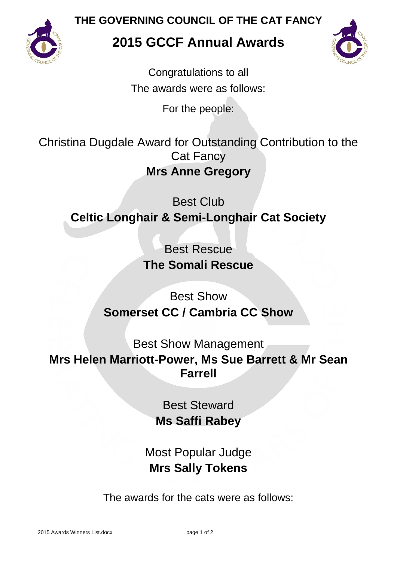

**THE GOVERNING COUNCIL OF THE CAT FANCY**

## **2015 GCCF Annual Awards**



Congratulations to all The awards were as follows:

For the people:

Christina Dugdale Award for Outstanding Contribution to the Cat Fancy **Mrs Anne Gregory**

Best Club **Celtic Longhair & Semi-Longhair Cat Society**

> Best Rescue **The Somali Rescue**

Best Show **Somerset CC / Cambria CC Show**

Best Show Management **Mrs Helen Marriott-Power, Ms Sue Barrett & Mr Sean Farrell**

> Best Steward **Ms Saffi Rabey**

Most Popular Judge **Mrs Sally Tokens**

The awards for the cats were as follows: